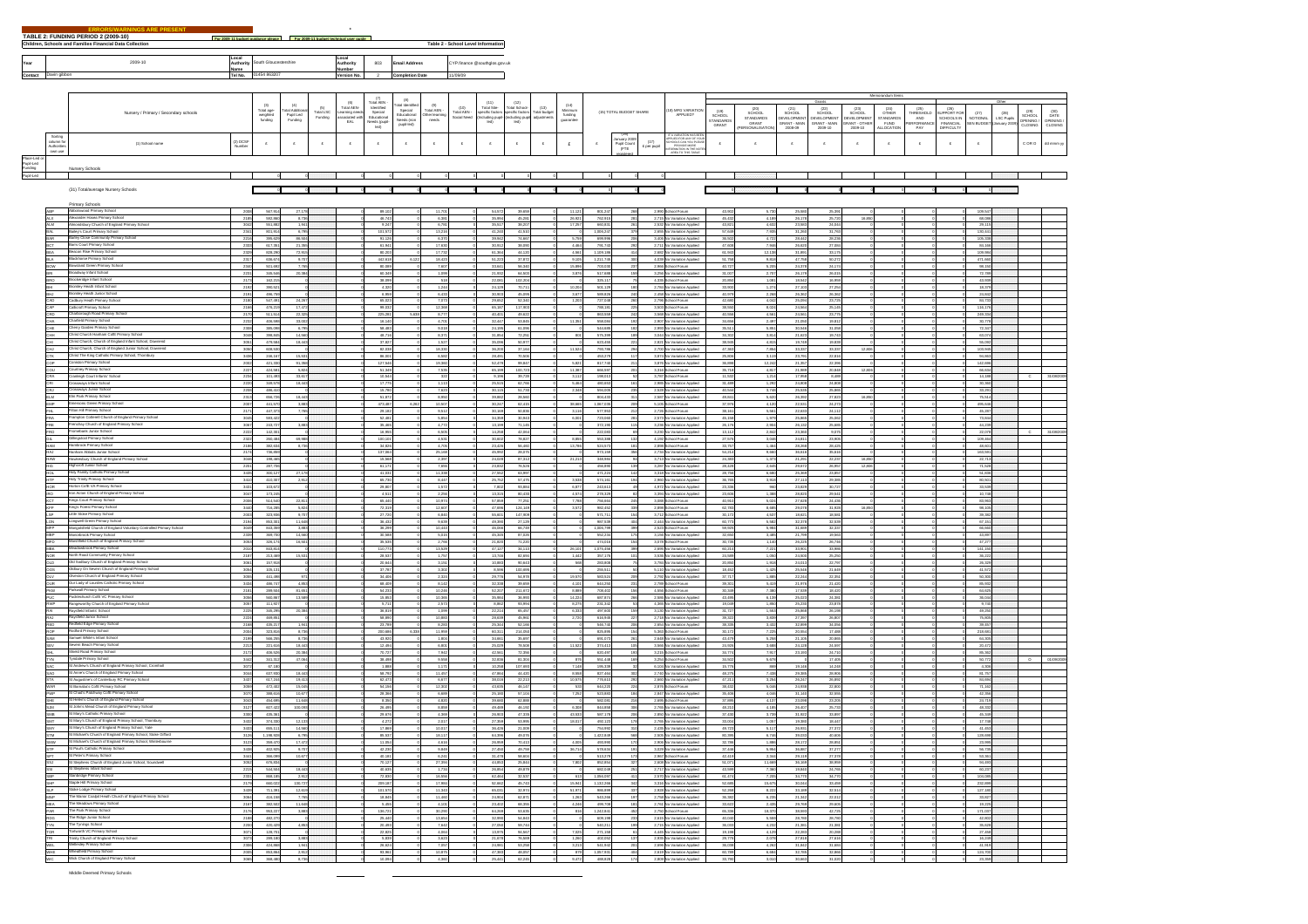|                                                   |                                      | TABLE 2: FUNDING PERIOD 2 (2009-10)<br>$F = 0.0004$<br>Children, Schools and Families Financial Data Collection             |                      |                                   |                                      | Fee 2009-11 husbar to |                                                    |                                                                   |                                                    |                                              | Table 2 - School Level Information |                                         |                                      |                                |                                 |                        |                         |                     |                                                          |                            |                                       |                                     |                                |                                 |                              |                          |                                  |                            |                           |                   |                      |
|---------------------------------------------------|--------------------------------------|-----------------------------------------------------------------------------------------------------------------------------|----------------------|-----------------------------------|--------------------------------------|-----------------------|----------------------------------------------------|-------------------------------------------------------------------|----------------------------------------------------|----------------------------------------------|------------------------------------|-----------------------------------------|--------------------------------------|--------------------------------|---------------------------------|------------------------|-------------------------|---------------------|----------------------------------------------------------|----------------------------|---------------------------------------|-------------------------------------|--------------------------------|---------------------------------|------------------------------|--------------------------|----------------------------------|----------------------------|---------------------------|-------------------|----------------------|
| Year                                              |                                      | 2009-10                                                                                                                     | Local<br>Authority   | South Gloucestershire             |                                      |                       | .ocal<br>uthority                                  | 803                                                               | mail Address                                       |                                              |                                    | YP.finance @southglos.gov.uk            |                                      |                                |                                 |                        |                         |                     |                                                          |                            |                                       |                                     |                                |                                 |                              |                          |                                  |                            |                           |                   |                      |
|                                                   | Contact Davin gibbon                 |                                                                                                                             | ame                  | Tel No. 01454 863207              |                                      |                       | mber<br>Version No.                                | $\overline{2}$                                                    | <b>Completion Date</b>                             |                                              | scient t                           |                                         |                                      |                                |                                 |                        |                         |                     |                                                          |                            |                                       |                                     |                                |                                 |                              |                          |                                  |                            |                           |                   |                      |
|                                                   |                                      |                                                                                                                             |                      |                                   |                                      |                       |                                                    |                                                                   |                                                    |                                              |                                    |                                         |                                      |                                |                                 |                        |                         |                     |                                                          |                            |                                       |                                     |                                |                                 |                              |                          |                                  |                            |                           |                   |                      |
|                                                   |                                      |                                                                                                                             |                      |                                   |                                      |                       | Total AEN-                                         | $\sigma$                                                          | (8)<br>nal Identifie                               | (9)                                          |                                    | Total Site-                             | (12)<br>otal Scho                    | (13)                           |                                 |                        |                         |                     |                                                          |                            |                                       |                                     |                                |                                 | Memorandum bams              |                          |                                  |                            |                           |                   |                      |
|                                                   |                                      | Nursery / Primary / Secondary schools                                                                                       |                      | Total age-<br>weighted<br>funding | tal Addition<br>Pupil Led<br>Funding | Total LSC<br>Funding  | aar AEN<br>'earning need:<br>'Sociated with<br>EAL | Total AEN<br>Idantified<br>Special<br>Educational<br>Needs (pupil | Special<br>Educational<br>Needs (non<br>pupil-led) | Total AEN -<br>Total AEN -<br>heads<br>needs | (10)<br>Total AEN<br>Social Need   | pacific factor<br>Including pup<br>kid) | pedific facts<br>noluding pr<br>led) | .<br>ctal budget<br>djustments | Minimum<br>funding<br>guarantee |                        | (15) TOTAL BUDGET SHARE |                     | 18) MFG VARIATION<br>APPLIED?                            | $(19)$<br>SCHOOL           | (20)<br>SCHOOL                        | (21)<br>SCHOOL<br><b>DEVELOPMEN</b> | $(22)$<br>SCHOOL<br>DEVELOPMEN | (23)<br>SCHOOL<br>DEVELOPMENT   | $(24)$<br>OTHER<br>STANDARDS | (25)<br>THRESHOLD<br>AND | (26)<br>UPPORT FOI<br>SCHOOLS IN | (27)<br><b>NOTIONAL</b>    | (28)<br><b>LSC Pupils</b> | $(29)$<br>SCHOOL  | $^{(30)}_{\sf DATE}$ |
|                                                   |                                      |                                                                                                                             |                      |                                   |                                      |                       |                                                    | led)                                                              |                                                    |                                              |                                    |                                         |                                      |                                |                                 |                        |                         |                     |                                                          | <b>TANDARDS</b><br>GRANT   | STANDARDS<br>GRANT<br>PERSONALISATION | <b>RANT - MAIN</b><br>2008-09       | GRANT - MAIN<br>2009-10        | <b>JRANT - OTHER</b><br>2009-10 | FUND<br>ALLOCATION           | PERFORMANCE<br>PAY       | FINANCIAL<br>DIFFICULTY          | <b>SEN BUDGI</b>           | nuary 200                 | PENNG/<br>:LOSING | OPENING /<br>CLOSING |
|                                                   | Sorting<br>column for<br>Authorities | (1) School name                                                                                                             | (2) DCSF<br>Number   | $\pounds$                         | $\pounds$                            | $\pounds$             | $\pounds$                                          | $\pounds$                                                         | $\pounds$                                          | $\pounds$                                    | $\pounds$                          | $\pounds$                               | $\pounds$                            | $\pounds$                      | $\epsilon$                      |                        | uary 2009               | (17)<br>£ per pupil |                                                          |                            | £                                     | $\pmb{\epsilon}$                    | $\pounds$                      | $\hat{\Sigma}$                  |                              | E                        | E                                | $\pounds$                  |                           | $C$ OR $O$        | dd mmm yy            |
|                                                   | own use                              |                                                                                                                             |                      |                                   |                                      |                       |                                                    |                                                                   |                                                    |                                              |                                    |                                         |                                      |                                |                                 |                        | Pupil Count<br>(FTE     |                     |                                                          |                            |                                       |                                     |                                |                                 |                              |                          |                                  |                            |                           |                   |                      |
| Place-Led or<br>Pupil-Led<br>Funding<br>Pupil-Led |                                      | <b>Vursery Schools</b>                                                                                                      |                      |                                   |                                      |                       |                                                    |                                                                   |                                                    |                                              |                                    |                                         |                                      |                                |                                 |                        |                         |                     |                                                          |                            |                                       |                                     |                                |                                 |                              |                          |                                  |                            |                           |                   |                      |
|                                                   |                                      |                                                                                                                             |                      | $\sim$                            |                                      | $\sim$                |                                                    |                                                                   |                                                    |                                              |                                    |                                         |                                      |                                |                                 |                        |                         | $\circ$             |                                                          |                            |                                       |                                     |                                |                                 |                              |                          |                                  |                            |                           |                   |                      |
|                                                   |                                      | (31) Total/average Nursery Schools                                                                                          |                      |                                   |                                      |                       |                                                    |                                                                   |                                                    |                                              |                                    |                                         |                                      |                                |                                 |                        |                         |                     |                                                          |                            |                                       |                                     |                                |                                 |                              |                          |                                  |                            |                           |                   |                      |
|                                                   | <b>ABP</b>                           | Primary Schools<br>Abbotswood Primary School                                                                                | 2008                 | 567,914                           | 27,178                               |                       |                                                    | 89,102                                                            |                                                    | 11,701                                       |                                    | 54,572                                  | 39,659                               |                                | 11,121                          | 801,247                | 268                     |                     | 2,990 School Forum                                       | 43,902                     | 5,730                                 | 25,580                              | 25,391                         |                                 |                              |                          |                                  | 109,547                    |                           |                   |                      |
|                                                   | ALX<br>ALM                           | Alexander Hosea Primary Schoo<br>ndsbury Church of England Primary School                                                   | 2185<br>3042         | 592,860<br>551,882                | 8,736<br>1,941                       |                       |                                                    | 46,743<br>9,247                                                   |                                                    | 6,381<br>6,781                               |                                    | 35,994<br>35,517                        | 45,281<br>38,207                     |                                | 26,921<br>17,257                | 762,915<br>660,831     | 281<br>26               |                     | 2,715 No Variation Applied<br>2,532 No Variation Applied | 45,432<br>43,821           | 4,189<br>4,632                        | 26,178<br>23,583                    | 25,720<br>24,044               | 16,850                          |                              |                          |                                  | 68,086<br>29,115           |                           |                   |                      |
|                                                   | BAR                                  | Bailey's Court Primary School<br>Barley Close Community Primary Schoo                                                       | 2341<br>2216         | 801,914<br>395,629                | 6,795<br>86,504                      |                       |                                                    | 101,572<br>91,126                                                 |                                                    | 13,216<br>6,370                              |                                    | 41,240<br>39,942                        | 41,510<br>74,667                     |                                | 5,75                            | 1,006,247<br>699,996   | 206                     |                     | 2,655 No Variation Applied<br>3,406 No Variation Applied | 57,649<br>36,502           | 7,935<br>4,722                        | 31,260<br>28,442                    | 31,783<br>28,236               |                                 |                              |                          |                                  | 130,441<br>105,338         |                           |                   |                      |
|                                                   |                                      | Barrs Court Primary School<br>Beacon Rise Primary School                                                                    | 2333<br>232          | 617,351<br>828,290                | 21,355<br>72,915                     |                       |                                                    | 61,941<br>80,203                                                  |                                                    | 17,630<br>17,732                             |                                    | 30,912<br>61,36                         | 38,090<br>44,120                     |                                | 4,464<br>4,58                   | 791,743<br>1,109,186   | 292                     |                     | 2,711 No Variation Applied<br>2,682 No Variation Applied | 47,608<br>61,94            | 7,946<br>12,13                        | 26,620<br>31,891                    | 27,08<br>33,1                  |                                 |                              |                          |                                  | 84,166<br>109,984          |                           |                   |                      |
|                                                   |                                      | <b>Blackhorse Primary School</b><br>Bowsland Green Primary School                                                           | 2317<br>2340         | 636,674<br>501,692                | 9,707<br>7,765                       |                       |                                                    | 442,618<br>80,089                                                 | 6,12                                               | 18,423<br>7,607                              |                                    | 51,223<br>33,641                        | 37,872<br>56,340                     |                                | 9,105<br>15.89                  | 1,211,745<br>703,03    |                         |                     | 4,039 No Variation Applied<br>2,986 School Forum         | 51,758<br>40,727           | 9,818<br>5,205                        | 47,758<br>24,378                    | 50,27<br>24,17                 |                                 |                              |                          |                                  | 471,660<br>98,150          |                           |                   |                      |
|                                                   |                                      | Broadway Infant School<br>Brockeridge Infant School                                                                         | 2231<br>2172         | 345,546<br>162,215                | 20,384                               |                       |                                                    | 60,349<br>38,099                                                  |                                                    | 1,099<br>518                                 |                                    | 21,932<br>22,081                        | 64,503<br>102,204                    |                                | 3,87                            | 517,688<br>325,117     |                         |                     | 3,256 No Variation Applied<br>4,335 School Forum         | 31,007<br>20,850           | 2.707<br>1.081                        | 26,179<br>18,542                    | 26,01<br>16,951                |                                 |                              |                          |                                  | 72,789<br>43,939           |                           |                   |                      |
|                                                   |                                      | Bromley Heath Infant School<br>Bromley Heath Junior School                                                                  | 219<br>2191          | 390,52<br>496,759                 |                                      |                       |                                                    | 4,320<br>6.959                                                    |                                                    | 1.244<br>6.433                               |                                    | 24,12<br>30,903                         | 70.71<br>45,095                      |                                | 10.20<br>3.67                   | 501,120<br>589,826     |                         |                     | 2,784 No Variation Applied<br>2,458 No Variation Applied | 33,900<br>40.979           | 1.27<br>2.268                         | 27,10<br>26,362                     | 27.25<br>26.362                |                                 |                              |                          |                                  | 18,379<br>24.842           |                           |                   |                      |
|                                                   | CAD                                  | Cadbury Heath Primary School                                                                                                | 2180                 | 547.491                           | 24,267                               |                       |                                                    | 65.023                                                            |                                                    | 7.073                                        |                                    | 29.652                                  | 52,340                               |                                | 1.20                            | 727,048                |                         |                     | 2,796 School Forum                                       | 42,680                     | 4.042                                 | 25,094                              | 23.72                          |                                 |                              |                          |                                  | 84,733                     |                           |                   |                      |
|                                                   | CAP<br>CRD                           | Callicroft Primary School<br>Charborough Road Primary School                                                                | 2166<br>2170         | 476,219<br>511,514                | 17,472<br>22,325                     |                       |                                                    | 99,032<br>225,281                                                 | 5.638                                              | 12,368<br>8.777                              |                                    | 65,187<br>40,401                        | 117,903<br>49,622                    |                                |                                 | 788,181<br>863,559     | 225<br>242              |                     | 3,503 School Forum<br>3,568 No Variation Applied         | 38,550<br>40,556           | 8.024<br>4.561                        | 24,584<br>24,561                    | 25,14<br>23,77                 |                                 |                              |                          |                                  | 116,176<br>249,334         |                           |                   |                      |
|                                                   | CHA<br>CHE                           | Charlield Primary School<br>Cherry Garden Primary Schoo                                                                     | 2232<br>2308         | 406,598<br>385,098                | 33,002<br>6,795                      |                       |                                                    | 16,140<br>58,483                                                  |                                                    | 4.701<br>9,018                               |                                    | 32,447<br>24.195                        | 53,845<br>61,096                     |                                | 11.351                          | 558,084<br>544,685     | 192                     |                     | 2,907 No Variation Applied<br>2,993 No Variation Applied | 34,656<br>35.511           | 2.497<br>5.851                        | 21,050<br>30,546                    | 19,812<br>31,058               |                                 |                              |                          |                                  | 30,778<br>72,347           |                           |                   |                      |
|                                                   | CHH                                  | Christ Church Harham CofE Primary School<br>Christ Church, Church of England Infant School, Downend                         | 3048<br>3051         | 398,845<br>479,584                | 14,560<br>18,443                     |                       |                                                    | 48,716<br>37,827                                                  |                                                    | 8,371<br>1,527                               |                                    | 31,854<br>35,096                        | 72,251<br>50,977                     |                                | 801                             | 575,399<br>623,455     | 221                     |                     | 3,044 No Variation Applied<br>2,821 No Variation Applied | 34,302<br>38,945           | 3,814<br>4,815                        | 21,623<br>19,749                    | 19,743<br>19,839               |                                 |                              |                          |                                  | 63,074<br>55,092           |                           |                   |                      |
|                                                   | <b>CTK</b>                           | Christ Church, Church of England Junior School, Downend<br>Christ The King Catholic Primary School, Thombury                | 3050<br>3436         | 608,530<br>246,167                | 15,531                               |                       |                                                    | 82,038<br>86,001                                                  |                                                    | 18,330<br>6,582                              |                                    | 36,200<br>28,491                        | 37,164<br>70,506                     |                                | 11,524                          | 793,786<br>453,279     | 294                     |                     | 2,700 No Variation Applied<br>3,874 No Variation Applied | 47,363<br>25,806           | 7,854<br>3,119                        | 33,337<br>23,791                    | 33,337<br>22,816               | 12,806                          |                              |                          |                                  | 103,945<br>94,863          |                           |                   |                      |
|                                                   | COP<br>cou                           | Coniston Primary School<br>Counney Primary School                                                                           | 2002<br>2227         | 421,330<br>424,581                | 91,358<br>5,824                      |                       |                                                    | 127,546<br>51,349                                                 |                                                    | 19,360<br>7,535                              |                                    | 52,479<br>65,199                        | 99,847<br>100,723                    |                                | 5,82<br>11,387                  | 817,740<br>666,597     |                         |                     | 3,876 No Variation Applied<br>3,316 School Forum         | 36,898<br>35,718           | 12,242<br>4,817                       | 21,357<br>21,989                    | 22,398<br>20,848               | 12,805                          |                              |                          |                                  | 142,696<br>66,634          |                           |                   |                      |
|                                                   | CRA<br>CRI                           | Cranleigh Court Infants' Scho<br>Crossways Infant School                                                                    | 2234<br>2220         | 101,493<br>349,578                | 33,617<br>18,443                     |                       |                                                    | 10,544<br>17,775                                                  |                                                    | 322<br>1,113                                 |                                    | 9,196<br>25,515                         | 39,728<br>62,766                     |                                | 3,11<br>5,464                   | 198,013<br>480,653     |                         |                     | 3.787 School Forum<br>2,985 No Variation Applied         | 11,532<br>31,489           | 1,214<br>1,292                        | 17,958<br>24,808                    | 8,489<br>24,808                |                                 |                              |                          |                                  | 14,188<br>30,360           |                           |                   | C 31/08/2005         |
|                                                   | CRJ<br><b>ELM</b>                    | Crossways Junior School<br>Elm Park Primary School                                                                          | 2208<br>2313         | 486,410<br>656,726                | 18,443                               |                       |                                                    | 15,780<br>51,872                                                  |                                                    | 7,823<br>8,950                               |                                    | 30,115<br>39,882                        | 51,730<br>28,560                     |                                | 2,348                           | 594,005<br>804,433     | 235<br>311              |                     | 2,528 No Variation Applied<br>2,587 No Variation Applied | 40,544<br>49,841           | 3,748<br>5,620                        | 25,535<br>26,392                    | 25,885<br>27,823               | 16,85                           |                              |                          |                                  | 33,291<br>75,514           |                           |                   |                      |
|                                                   |                                      | Emersons Green Primary Schor<br>Filton Hill Primary School                                                                  | 2007                 | 441,570<br>447,373                | 3,883<br>7,765                       |                       |                                                    | 473,487<br>29,182                                                 |                                                    | 10,507<br>9,512                              |                                    | 30,247<br>30,169                        | 62,415<br>50,836                     |                                | 38,685<br>3,116                 | 1,067,035<br>577,953   |                         |                     | 5,105 School Forum<br>2,726 School Forum                 | 37,976<br>38,161           | 4,120<br>5,56                         | 22,531<br>22,633                    | 24,273<br>24,11                |                                 |                              |                          |                                  | 495,646<br>45,287          |                           |                   |                      |
|                                                   |                                      | Frampton Cotterell Church of England Primary School<br>Espechau Church of England Primary School                            | 3045<br>3067         | 593,422<br>243,72                 | 3,883                                |                       |                                                    | 52,481<br>35,465                                                  |                                                    | 5,854<br>4,772                               |                                    | 34,359<br>13,199                        | 30,943<br>71,145                     |                                | 6,00                            | 723,060<br>372,19      |                         |                     | 2,573 No Variation Applied<br>3,236 No Variation Applied | 45,158<br>26,17            | 1,979<br>2,904                        | 25,865<br>26, 12                    | 25,082<br>25,68                |                                 |                              |                          |                                  | 73,844<br>44,239           |                           |                   |                      |
|                                                   | FRO                                  | Fromebank Junior School<br>Gillinostoni Primary School                                                                      | $-2222$<br>2322      | 142,301<br>260,484                | 69,988                               |                       |                                                    | 16,955<br>100,101                                                 |                                                    | 6,505<br>4,531                               |                                    | 14,258<br>30,602                        | 42,064<br>78,827                     |                                | 8,855                           | 222,083<br>553,388     |                         |                     | 3,230 No Variation Applied<br>4,192 School Forum         | 13,112<br>27,576           | 2,842<br>3,046                        | 23,360<br>24,811                    | 9,07<br>23,90                  |                                 |                              |                          |                                  | 22,078<br>109,464          |                           |                   | C 31/08/2009         |
|                                                   |                                      | Hambrook Primary School<br>Hanham Abbots Junior School                                                                      | 2188<br>2174         | 382,63<br>736,859                 | 8,736                                |                       |                                                    | 34,826<br>137,064                                                 |                                                    | 4,705<br>25,168                              |                                    | 23,426<br>45,992                        | 56,460<br>28,075                     |                                | 13,78                           | 524,573<br>973,159     |                         |                     | 2,898 School Forum<br>2,734 No Variation Applied         | 33,75<br>54,214            | 1,464<br>9,660                        | 28,268<br>38,61                     | 28,42<br>35,61                 |                                 |                              |                          |                                  | 48,601<br>163,591          |                           |                   |                      |
|                                                   | HAW                                  | Hawkesbury Church of England Primary School<br>Highcraft Junior School                                                      | 3046                 | 198,465                           |                                      |                       |                                                    | 15,568                                                            |                                                    | 2,397                                        |                                    | 24,028                                  | 87,312                               |                                | 21,21                           | 348,984                |                         |                     | 3,713 No Variation Applied                               | 24,383                     | 1,373                                 | 21,291                              | 22,237                         | 16,850                          |                              |                          |                                  | 22,713                     |                           |                   |                      |
|                                                   | HOL                                  | Holy Family Catholic Primary School<br>Holy Trinity Primary School                                                          | 2201<br>3435<br>3410 | 287,706<br>300,127                | 27.178                               |                       |                                                    | 61,171<br>41.031                                                  |                                                    | 7,655<br>11.338<br>8.447                     |                                    | 23,832<br>27,552<br>25.752              | 76,526<br>63,997<br>57,475           |                                | 3.538                           | 456,890<br>471,224     | 142                     |                     | 3,287 No Variation Applied<br>3,318 No Variation Applied | 28,428<br>28,756<br>36,765 | 2,645<br>6.680                        | 29,672<br>25,369                    | 26,957<br>23,857<br>29.385     | 12,806                          |                              |                          |                                  | 71,528<br>51,836<br>80,501 |                           |                   |                      |
|                                                   | <b>HTP</b><br>HOR                    | Horton CofE VA Primary School<br>Ison Acton Church of England Primary School                                                | 3431                 | 410,307<br>103,672                | 2,912                                |                       |                                                    | 65,730<br>29,807                                                  |                                                    | 1.572<br>2.256                               |                                    | 7,802                                   | 93.884                               |                                | 6.877                           | 574,161<br>243,613     |                         |                     | 2,960 No Variation Applied<br>4,972 No Variation Applied | 23,336                     | 3,918<br>960                          | 27,113<br>23,829                    | 30.727                         |                                 |                              |                          |                                  | 33,539                     |                           |                   |                      |
|                                                   | KCT                                  | Kings Court Primary School                                                                                                  | 3047<br>2006         | 173,245<br>514,540                | 22.811                               |                       |                                                    | 4,511<br>65,440                                                   |                                                    | 10.974                                       |                                    | 13.315<br>57,859                        | 80,430<br>77.251                     |                                | 4.574<br>7,788                  | 278,329<br>758,684     |                         |                     | 3,394 No Variation Applied<br>3,088 School Forum         | 23,606<br>40,910           | 1.388<br>5.024                        | 28,820<br>27,628                    | 29.541<br>24.436               |                                 |                              |                          |                                  | 10.748<br>83,963           |                           |                   |                      |
|                                                   | KEP<br>LSP.                          | King's Forest Primary School<br>Little Stoke Primary School                                                                 | 3440<br>2003         | 716,285<br>323,936                | 5.824<br>9,707                       |                       |                                                    | 72,319<br>27,720                                                  |                                                    | 12,607<br>6,840                              |                                    | 47,696<br>55,601                        | 124,149<br>147,909                   |                                | 3,572                           | 982,452<br>571,711     | 330                     |                     | 2.898 School Forum<br>3,712 School Forum                 | 62,783<br>30,172           | 8.685<br>4,537                        | 29,078<br>18,621                    | 31,928<br>18,58                | 16,850                          |                              |                          |                                  | 98,105<br>39,382           |                           |                   |                      |
|                                                   | LON<br>MFP                           | Longwell Green Primary School<br>Mangotsfield Church of England Voluntary Controlled Primary School                         | 2194<br>3049         | 853,301<br>843,359                | 11,648<br>3,883                      |                       |                                                    | 36,432<br>36,299                                                  |                                                    | 9,639<br>10,443                              |                                    | 49,390<br>46,066                        | 27,129<br>66,749                     |                                |                                 | 987,539<br>1,006,799   | 404<br>399              |                     | 2,444 No Variation Applied<br>2,523 School Forum         | 60,773<br>59,925           | 5,582<br>5,984                        | 32,378<br>31,689                    | 32,531<br>32,337               |                                 |                              |                          |                                  | 67,151<br>68,680           |                           |                   |                      |
|                                                   | MBP<br><b>MFD</b>                    | Manorbrook Primary School<br>vield Church of England Primary School                                                         | 2339<br>3053         | 389,700<br>326,174                | 14,560<br>16,501                     |                       |                                                    | 30,588<br>35,535                                                  |                                                    | 5,015<br>2,766                               |                                    | 45,345<br>21,820                        | 87,026<br>71,220                     |                                |                                 | 552,234<br>474,016     | 175<br>154              |                     | 3,156 No Variation Applied<br>3,078 School Forum         | 32,650<br>30,735           | 3,485<br>1,140                        | 21,799<br>26,225                    | 19,563<br>26,746               |                                 |                              |                          |                                  | 43,897<br>47,277           |                           |                   |                      |
|                                                   | <b>MBK</b><br><b>NOR</b>             | Meadowbrook Primary School<br>North Road Community Primary Schoo                                                            | 2010<br>2187         | 843, 814<br>213,469               | 15,531                               |                       |                                                    | 110,773<br>28,537                                                 |                                                    | 13,529<br>1,757                              |                                    | 47,127<br>13,746                        | 34,113<br>82,694                     |                                | 26,101<br>1,442                 | 1,075,456<br>357,176   | 399                     |                     | 2,695 No Variation Applied<br>3,536 No Variation Applied | 60,214<br>24,589           | 7,221<br>1,050                        | 33,901<br>24,500                    | 33,986<br>25,250               |                                 |                              |                          |                                  | 141,150<br>38,222          |                           |                   |                      |
|                                                   | OLD<br>008                           | Old Sodbury Church of England Primary Scho<br>Oldbury On Severn Church of England Primary School                            | 3061<br>3054         | 157,918<br>105,131                |                                      |                       |                                                    | 20,644<br>37,787                                                  |                                                    | 3,151<br>3,302                               |                                    | 10,883<br>8,596                         | 90,643<br>100,695                    |                                |                                 | 283,808<br>255,511     |                         |                     | 3,784 No Variation Applied<br>5,110 No Variation Applied | 20,850<br>18,452           | 1,918<br>1,425                        | 24,013<br>25,546                    | 22,797<br>21,649               |                                 |                              |                          |                                  | 28,329<br>41,572           |                           |                   |                      |
|                                                   | OLV<br>OUR                           | Olveston Church of England Primary Schoo<br>Our Lady of Lourdes Catholic Primary School                                     | 3055                 | 441,498<br>486,747                | 971<br>4,853                         |                       |                                                    | 34,406<br>68,409                                                  |                                                    | 2,324<br>8,142                               |                                    | 29,776<br>32,338                        | 54,978<br>39,659                     |                                | 19,57<br>4,10                   | 583,524<br>644,250     |                         | 2,789 So            | 2,792 No Variation Applied<br>chool Forum                | 37,717<br>39,301           | 1,885<br>5,419                        | 22,244<br>21,97                     | 22,351<br>21,42                |                                 |                              |                          |                                  | 50,300<br>85,932           |                           |                   |                      |
|                                                   | PKW                                  | Parkwall Primary School<br>Pucklachurch CofE VC Primary School                                                              | 2181<br>305          | 289,504<br>580,86                 | 81,651<br>13,589                     |                       |                                                    | 54,233<br>15,853                                                  |                                                    | 10,248<br>10,365                             |                                    | 52,207<br>35,984                        | 211,672<br>36,993                    |                                | 8,889<br>14,22                  | 708,402<br>687,874     |                         |                     | 4,556 School Forum<br>2,586 No Variation Applied         | 30,349<br>43,495           | 7,380<br>6,13                         | 17,539<br>25,023                    | 18,42<br>24,38                 |                                 |                              |                          |                                  | 64,625<br>38,044           |                           |                   |                      |
|                                                   |                                      | Rangeworthy Church of England Primary School<br>Raysfield Infants' School                                                   | 305<br>222           | 111,92<br>345,20                  | 20,384                               |                       |                                                    | 5,711<br>36,819                                                   |                                                    | 2,573<br>1,099                               |                                    | 8,862<br>22,214                         | 93,994<br>65,467                     |                                | 8,27<br>6,33                    | 231,342<br>497,600     |                         |                     | 4,365 No Variation Applied<br>3,130 No Variation Applied | 19,049<br>31,727           | 1,850<br>1,55                         | 25,230<br>25,868                    | 23,87<br>26,19                 |                                 |                              |                          |                                  | 9,740<br>49,250            |                           |                   |                      |
|                                                   | RED                                  | Raysfield Junior School<br><b>RedSeld Fring Primary School</b>                                                              | 2224<br>2168         | 469,85<br>435,217                 | 1,941                                |                       |                                                    | 58,890<br>23,789                                                  |                                                    | 10,883<br>8,283                              |                                    | 28,639<br>25,344                        | 45,96<br>52,166                      |                                | 2,72                            | 616,945<br>546,740     | 206                     |                     | 2,718 No Variation Applied<br>2,654 No Variation Applied | 39,322<br>38,335           | 3,8%<br>3,432                         | 27,397<br>32,899                    | 26,807<br>34.05                |                                 |                              |                          |                                  | 75,805<br>39,457           |                           |                   |                      |
|                                                   | ROP<br>SAM                           | Rodford Primary School<br>Samuel White's Infant School                                                                      | 2004<br>2199         | 323,816<br>566,255                | 8,736<br>8,736                       |                       |                                                    | 200,686<br>43,920                                                 | 6.338                                              | 11,959<br>1,804                              |                                    | 60,311<br>34,661                        | 214,050<br>35,697                    |                                |                                 | 825,895<br>691,073     | 154<br>281              |                     | 5,363 School Forum<br>2,648 No Variation Applied         | 30,172<br>43,479           | 7,225<br>5.258                        | 20,554<br>21,105                    | 17,488<br>20,885               |                                 |                              |                          |                                  | 218,681<br>64,305          |                           |                   |                      |
|                                                   | SEV<br>SHL                           | Sevem Beach Primary School<br>Shield Road Primary School                                                                    | 2213<br>2172         | 221,616<br>406,526                | 18,443<br>20,384                     |                       |                                                    | 12.494<br>70.727                                                  |                                                    | 6.801<br>7.942                               |                                    | 25.029<br>42.561                        | 78,508<br>72,356                     |                                | 11.522                          | 374,413<br>620,497     | 106<br>193              |                     | 3,566 No Variation Applied<br>3.215 School Forum         | 24.926<br>34,774           | 3.688<br>7.917                        | 24,128<br>23,193                    | 24,597<br>24.710               |                                 |                              |                          |                                  | 20,472<br>85,382           |                           |                   |                      |
|                                                   | <b>TYN</b><br><b>SAC</b>             | Tyndale Primary School<br>St Andrew's Church of England Primary School, Cromhall                                            | 3442<br>3072         | 341.312<br>67,180                 | 47.064                               |                       |                                                    | 38,498<br>1,888                                                   |                                                    | 9,558<br>1.171                               |                                    | 32,836<br>10.258                        | 81.304<br>107,693                    |                                | 876<br>7.14                     | 551,448<br>195,339     |                         |                     | 3,254 School Forum<br>6,104 No Variation Applied         | 34,502<br>15,776           | 5.678<br>869                          | 19,146                              | 17,405<br>14,248               |                                 |                              |                          |                                  | 50.772<br>4,306            |                           |                   | $0 - 01/09/200$      |
|                                                   | SAO<br><b>STA</b>                    | St Anne's Church of England Primary School<br>St Augustine's of Canterbury RC Primary Schoo                                 | 3044<br>3437         | 637,930<br>617,244                | 18.443<br>19,413                     |                       |                                                    | 58,792<br>62,473                                                  |                                                    | 11,457<br>6,677                              |                                    | 47,864<br>38,016                        | 44,420<br>22,213                     |                                | 8.55<br>10.575                  | 827,464<br>776,610     | 302<br>292              |                     | 2,740 No Variation Applied<br>2,660 No Variation Applied | 48,275<br>47,211           | 7.438<br>3,254                        | 29,385<br>26,247                    | 28,908<br>26,892               |                                 |                              |                          |                                  | 81,757<br>84,694           |                           |                   |                      |
|                                                   | WAR                                  | St Barnaba's CofE Primary School<br>St Chad's Patchway CofE Primary Schoo                                                   | 3059<br>3070         | 472,402<br>388,616                | 15,045<br>10,677                     |                       |                                                    | 54,158<br>28,366                                                  |                                                    | 12,302<br>6,689                              |                                    | 43,635<br>25,180                        | 46,147<br>57,104                     |                                | 533<br>7,252                    | 644,220<br>523,883     | 224                     |                     | 2.876 School Forum<br>2,847 No Variation Applied         | 38,432<br>35,406           | 5,046<br>4,046                        | 24,938<br>31,140                    | 22,800<br>32,555               |                                 |                              |                          |                                  | 71,162<br>42,356           |                           |                   |                      |
|                                                   | SHE                                  | St Helen's Church of England Primary School<br>St John's Mead Church of England Primary School                              | 3043                 | 454,695                           | 11,648                               |                       |                                                    | 8,350                                                             |                                                    | 4,820                                        |                                    | 39,680                                  | 62,888                               |                                |                                 | 582,081                | 216                     |                     | 2,695 School Forum<br>2,765 No Variation Applied         | 37,895                     | 4,137                                 | 23,098                              | 23,205                         |                                 |                              |                          |                                  | 24,719                     |                           |                   |                      |
|                                                   | SJM<br>SMB                           | St Mary's Catholic Primary School<br>St Mary's Church of England Primary School, Th                                         | 3127<br>3300         | 607,422<br>435,361                | 100,093                              |                       |                                                    | 26,495<br>29,676                                                  |                                                    | 8,859<br>4,369                               |                                    | 49,489<br>26,903                        | 46,192<br>47,335                     |                                | 6,308<br>43,533                 | 844,858<br>587,178     | 306<br>206              |                     | 2.850 No Variation Apolled                               | 48,210<br>37,430           | 4,185<br>3.739                        | 26,407<br>31,922                    | 25,733<br>33,897               |                                 |                              |                          |                                  | 48,332<br>45,349           |                           |                   |                      |
|                                                   | SMY                                  | St Mary's Church of England Primary School, Yate                                                                            | 3432<br>3433         | 374.33<br>655,111                 | 12.13<br>14,560                      |                       |                                                    | 4.272<br>17,869                                                   |                                                    | 2.017<br>10,017                              |                                    | 27.35<br>36,426                         | 53.99<br>21,009                      |                                | 18.01                           | 492.12<br>754,992      |                         |                     | 2.765 No Variation Applied<br>2,435 No Variation Applied | 33.00<br>49,723            | 5.117                                 | 19.38<br>26,931                     | 18.44<br>27,37                 |                                 |                              |                          |                                  | 17.74<br>41,453            |                           |                   |                      |
|                                                   | STM<br>SMW                           | St Michael's Church of England Primary School, Stoke Gifford<br>St Michael's Church of England Primary School, Winterbourne | 3126<br>3123         | 1,198,928<br>359,470              | 6,795<br>17,472                      |                       |                                                    | 85,537<br>11,054                                                  |                                                    | 18,117<br>4,616                              |                                    | 64,396<br>26,950                        | 49,076<br>70,413                     |                                | 4,00                            | 1,422,849<br>493,990   |                         |                     | 2,505 No Variation Applied<br>2,906 No Variation Applied | 80,395<br>32,786           | 6,746<br>1,886                        | 39,033<br>28,172                    | 40,606<br>28,851               |                                 |                              |                          |                                  | 128,698<br>23,995          |                           |                   |                      |
|                                                   | <b>STP</b>                           | St Paul's Catholic Primary School<br>St Peter's Primary School                                                              | 3438<br>3441         | 402,925<br>366,099                | 9,707<br>10,677                      |                       |                                                    | 42,230<br>40,181                                                  |                                                    | 9,849<br>6,241                               |                                    | 27,450<br>31,478                        | 49,759<br>58,604                     |                                | 38,714                          | 578,634<br>513,279     |                         |                     | 3,029 No Variation Applied<br>2,967 School Forum         | 37,446<br>42,419           | 5,954<br>2,344                        | 36,887<br>29,119                    | 37,277<br>27,37                |                                 |                              |                          |                                  | 56,735<br>53,381           |                           |                   |                      |
|                                                   | <b>SSJ</b>                           | St Stephens Church of England Junior School, Soundwell<br>St Stephens Infant School                                         | 3052<br>2215         | 676,834<br>544,504                | 18,443                               |                       |                                                    | 70,127<br>40,635                                                  |                                                    | 27,394<br>1,734                              |                                    | 44,853<br>26,854                        | 25,844<br>49,879                     |                                | 7,80                            | 852,854<br>682,049     |                         |                     | 2,608 No Variation Applied<br>2,717 No Variation Applied | 51,07<br>43,59             | 11,669<br>7,360                       | 38,169<br>19,840                    | 38,959<br>24,78                |                                 |                              |                          |                                  | 94,493<br>60,237           |                           |                   |                      |
|                                                   |                                      | Stanbridge Primary School<br>Staple Hill Primary School                                                                     | 2331<br>2179         | 868,185<br>660,022                | 2,912<br>130,727                     |                       |                                                    | 72,830<br>209,187                                                 |                                                    | 16,558<br>17,984                             |                                    | 62,464<br>52,662                        | 32,537<br>45,743                     |                                | 61<br>15,941                    | 1,056,097<br>1,132,266 |                         |                     | 2,570 No Variation Applied<br>3,316 No Variation Applied | 61,474<br>52,685           | 7,205<br>15,679                       | 34,770<br>30,044                    | 34,77<br>33,45                 |                                 |                              |                          |                                  | 104,085<br>232,899         |                           |                   |                      |
|                                                   | <b>SLP</b><br>MNP                    | Stoke Lodge Primary School<br>The Manor Coalpit Heath Church of England Primary School                                      | 3439<br>3064         | 711,391<br>416,158                | 12,619<br>7,765                      |                       |                                                    | 101,570<br>18,845                                                 |                                                    | 11,343<br>11,460                             |                                    | 65,031<br>24,904                        | 32,974<br>62,871                     |                                | 51,971<br>1,26                  | 988,899<br>543,266     |                         |                     | 2,928 No Variation Applied<br>2,758 No Variation Applied | 52,268<br>36,382           | 8,222<br>6,235                        | 33,189<br>21,342                    | 32,514<br>22,012               |                                 |                              |                          |                                  | 127,180<br>33,827          |                           |                   |                      |
|                                                   | MEA<br>PAR                           | The Meadows Primary School<br>The Park Primary School                                                                       | 2167<br>2176         | 382,502<br>953,227                | 11,648<br>3,883                      |                       |                                                    | 5,455<br>136,721                                                  |                                                    | 4,101<br>30,290                              |                                    | 23,402<br>64,269                        | 68,355<br>53,635                     |                                | 4.24<br>81                      | 499,708<br>1,242,841   |                         |                     | 2,761 No Variation Applied<br>2,750 School Forum         | 33,622<br>65,336           | 2,435<br>18,370                       | 29,78<br>38,593                     | 29,60<br>42,72                 |                                 |                              |                          |                                  | 19,225<br>171,037          |                           |                   |                      |
|                                                   | <b>TYN</b>                           | The Ridge Junior School<br>The Tynings School                                                                               | 218<br>2200          | 482,27<br>420,429                 | 4.853                                |                       |                                                    | 25,440<br>20,493                                                  |                                                    | 13.654<br>7.642                              |                                    | 32,990<br>27.050                        | 54.843<br>59,744                     |                                |                                 | 609,198<br>540.211     |                         |                     | 2,615 No Variation Applied<br>2,715 No Variation Applied | 40,040<br>36,033           | 5.55<br>4.232                         | 28,78<br>21,381                     | 28,78<br>21,381                |                                 |                              |                          |                                  | 42,802<br>35,628           |                           |                   |                      |
|                                                   | TOR                                  | Tortworth VC Primary School<br>Trinity Church of England Primary School                                                     | 3071<br>3073         | 128.70<br>289,180                 | 3,883                                |                       |                                                    | 22.825<br>5,839                                                   |                                                    | 4.064<br>3,623                               |                                    | 13,975<br>21,678                        | 94,567<br>76,589                     |                                | 7.02<br>1,260                   | 271,158<br>402,052     |                         |                     | 4,445 No Variation Applied<br>2,935 No Variation Applied | 19.198<br>29,776           | 4.129<br>2.078                        | 22,283<br>27,818                    | 20.28<br>27,618                |                                 |                              |                          |                                  | 27,458<br>16,249           |                           |                   |                      |
|                                                   | WEL                                  | Wellesley Primary School<br>Wheatfield Primary School                                                                       | 2306                 | 424,868                           | 1,941                                |                       |                                                    | 26,624                                                            |                                                    | 7.057                                        |                                    | 24,981                                  | 53,258                               |                                | 3.213                           | 541,942                | 201                     |                     | 2,696 No Variation Applied                               | 36,038                     | 4.262                                 | 31,842                              | 31,684                         |                                 |                              |                          |                                  | 41,919                     |                           |                   |                      |
|                                                   | WHE<br>MC.                           | Wick Church of England Primary School                                                                                       | 2005<br>3065         | 853,864<br>368,480                | 2,912<br>8.736                       |                       |                                                    | 93,961<br>10.094                                                  |                                                    | 10,875<br>4.360                              |                                    | 47,383<br>25.441                        | 48.057<br>62,245                     |                                | 879<br>9.472                    | 1,057,931<br>488.828   | 404<br>174              |                     | 2,619 No Variation Applied<br>2,809 No Variation Applied | 60,789<br>33,790           | 6.684<br>3.010                        | 32,785<br>30,663                    | 32,886<br>31,020               |                                 |                              |                          |                                  | 124,700<br>23,359          |                           |                   |                      |